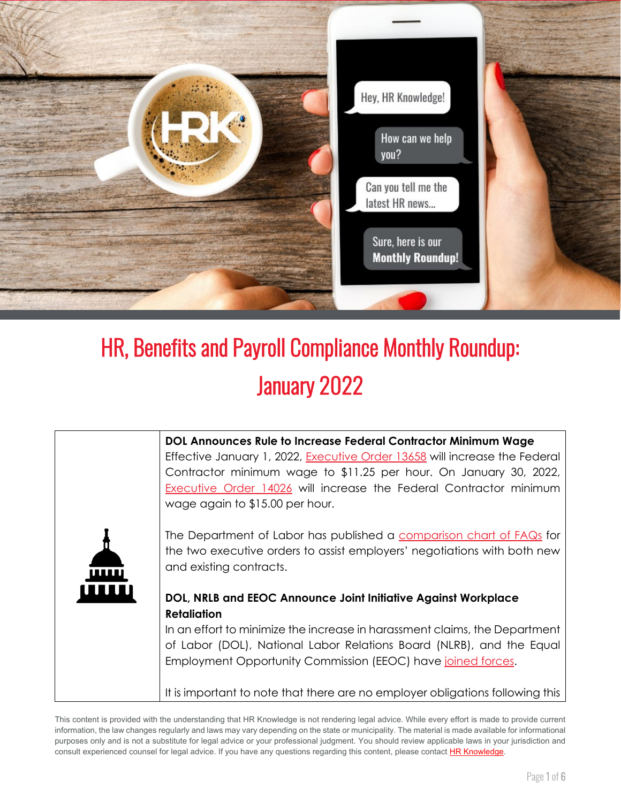

## HR, Benefits and Payroll Compliance Monthly Roundup: January 2022



This content is provided with the understanding that HR Knowledge is not rendering legal advice. While every effort is made to provide current information, the law changes regularly and laws may vary depending on the state or municipality. The material is made available for informational purposes only and is not a substitute for legal advice or your professional judgment. You should review applicable laws in your jurisdiction and consult experienced counsel for legal advice. If you have any questions regarding this content, please contac[t HR Knowledge.](mailto:marketing@hrknowledge.com)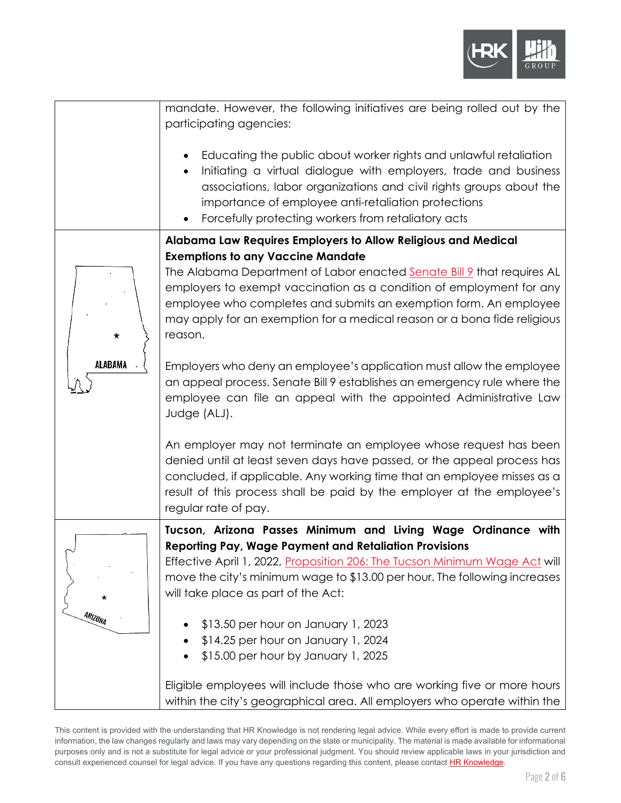

|                     | mandate. However, the following initiatives are being rolled out by the<br>participating agencies:                                                                                                                                                                                                                                                     |
|---------------------|--------------------------------------------------------------------------------------------------------------------------------------------------------------------------------------------------------------------------------------------------------------------------------------------------------------------------------------------------------|
|                     | Educating the public about worker rights and unlawful retaliation<br>$\bullet$<br>Initiating a virtual dialogue with employers, trade and business<br>$\bullet$<br>associations, labor organizations and civil rights groups about the<br>importance of employee anti-retaliation protections<br>Forcefully protecting workers from retaliatory acts   |
|                     | Alabama Law Requires Employers to Allow Religious and Medical                                                                                                                                                                                                                                                                                          |
| ★<br><b>ALABAMA</b> | <b>Exemptions to any Vaccine Mandate</b><br>The Alabama Department of Labor enacted Senate Bill 9 that requires AL<br>employers to exempt vaccination as a condition of employment for any<br>employee who completes and submits an exemption form. An employee<br>may apply for an exemption for a medical reason or a bona fide religious<br>reason. |
|                     | Employers who deny an employee's application must allow the employee<br>an appeal process. Senate Bill 9 establishes an emergency rule where the<br>employee can file an appeal with the appointed Administrative Law<br>Judge (ALJ).                                                                                                                  |
|                     | An employer may not terminate an employee whose request has been<br>denied until at least seven days have passed, or the appeal process has<br>concluded, if applicable. Any working time that an employee misses as a<br>result of this process shall be paid by the employer at the employee's<br>regular rate of pay.                               |
| ARIZONA             | Tucson, Arizona Passes Minimum and Living Wage Ordinance with<br><b>Reporting Pay, Wage Payment and Retaliation Provisions</b><br>Effective April 1, 2022, Proposition 206: The Tucson Minimum Wage Act will<br>move the city's minimum wage to \$13.00 per hour. The following increases<br>will take place as part of the Act:                       |
|                     | \$13.50 per hour on January 1, 2023<br>\$14.25 per hour on January 1, 2024<br>\$15.00 per hour by January 1, 2025                                                                                                                                                                                                                                      |
|                     | Eligible employees will include those who are working five or more hours<br>within the city's geographical area. All employers who operate within the                                                                                                                                                                                                  |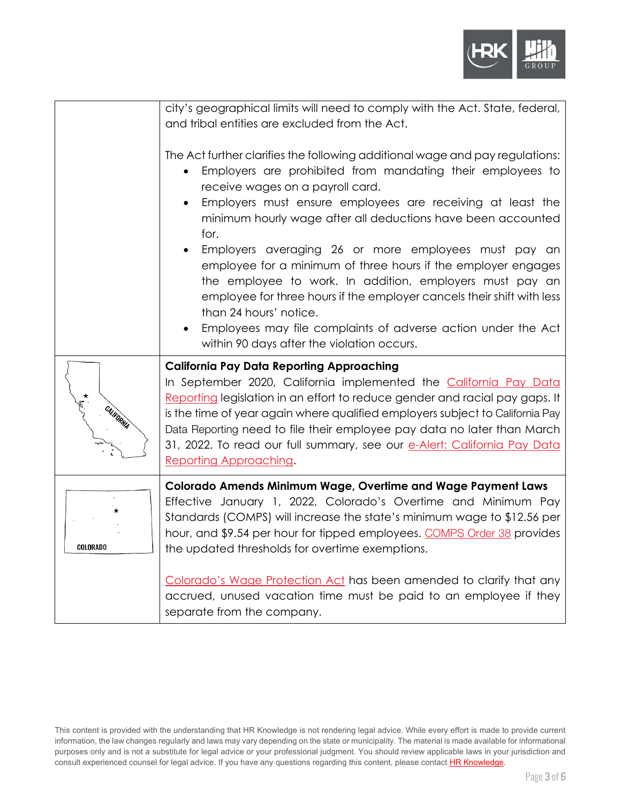

|                     | city's geographical limits will need to comply with the Act. State, federal,<br>and tribal entities are excluded from the Act.<br>The Act further clarifies the following additional wage and pay regulations:<br>Employers are prohibited from mandating their employees to<br>$\bullet$<br>receive wages on a payroll card.<br>Employers must ensure employees are receiving at least the<br>minimum hourly wage after all deductions have been accounted<br>for.<br>Employers averaging 26 or more employees must pay an<br>employee for a minimum of three hours if the employer engages<br>the employee to work. In addition, employers must pay an<br>employee for three hours if the employer cancels their shift with less<br>than 24 hours' notice.<br>Employees may file complaints of adverse action under the Act<br>within 90 days after the violation occurs. |
|---------------------|-----------------------------------------------------------------------------------------------------------------------------------------------------------------------------------------------------------------------------------------------------------------------------------------------------------------------------------------------------------------------------------------------------------------------------------------------------------------------------------------------------------------------------------------------------------------------------------------------------------------------------------------------------------------------------------------------------------------------------------------------------------------------------------------------------------------------------------------------------------------------------|
| <b>XXX CALIDANA</b> | <b>California Pay Data Reporting Approaching</b><br>In September 2020, California implemented the California Pay Data<br>Reporting legislation in an effort to reduce gender and racial pay gaps. It<br>is the time of year again where qualified employers subject to California Pay<br>Data Reporting need to file their employee pay data no later than March<br>31, 2022. To read our full summary, see our e-Alert: California Pay Data<br>Reporting Approaching.                                                                                                                                                                                                                                                                                                                                                                                                      |
| COLORADO            | Colorado Amends Minimum Wage, Overtime and Wage Payment Laws<br>Effective January 1, 2022, Colorado's Overtime and Minimum Pay<br>Standards (COMPS) will increase the state's minimum wage to \$12.56 per<br>hour, and \$9.54 per hour for tipped employees. COMPS Order 38 provides<br>the updated thresholds for overtime exemptions.<br>Colorado's Wage Protection Act has been amended to clarify that any<br>accrued, unused vacation time must be paid to an employee if they<br>separate from the company.                                                                                                                                                                                                                                                                                                                                                           |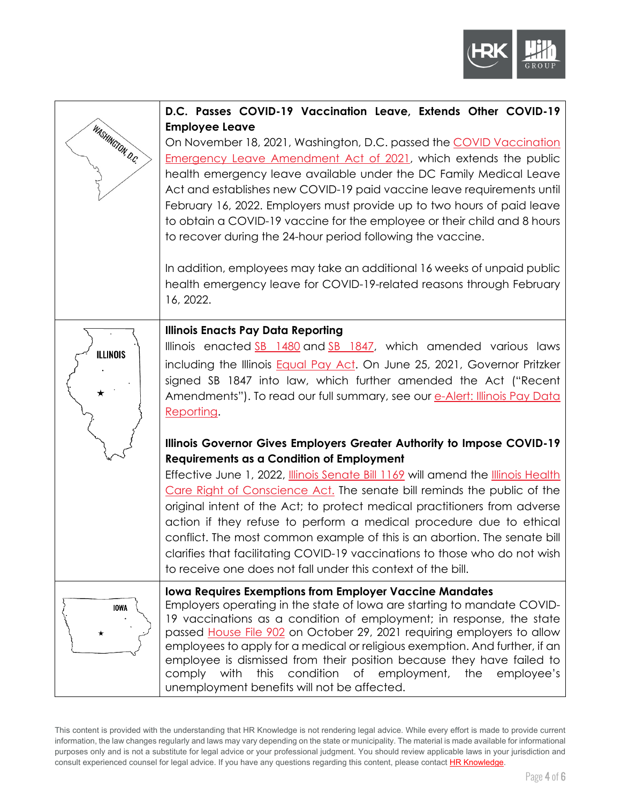

| WASHINGTON D.C.  | D.C. Passes COVID-19 Vaccination Leave, Extends Other COVID-19<br><b>Employee Leave</b><br>On November 18, 2021, Washington, D.C. passed the COVID Vaccination<br><b>Emergency Leave Amendment Act of 2021, which extends the public</b><br>health emergency leave available under the DC Family Medical Leave<br>Act and establishes new COVID-19 paid vaccine leave requirements until<br>February 16, 2022. Employers must provide up to two hours of paid leave<br>to obtain a COVID-19 vaccine for the employee or their child and 8 hours<br>to recover during the 24-hour period following the vaccine.<br>In addition, employees may take an additional 16 weeks of unpaid public<br>health emergency leave for COVID-19-related reasons through February<br>16, 2022.                                                                                                                                                                                                                                                                             |
|------------------|------------------------------------------------------------------------------------------------------------------------------------------------------------------------------------------------------------------------------------------------------------------------------------------------------------------------------------------------------------------------------------------------------------------------------------------------------------------------------------------------------------------------------------------------------------------------------------------------------------------------------------------------------------------------------------------------------------------------------------------------------------------------------------------------------------------------------------------------------------------------------------------------------------------------------------------------------------------------------------------------------------------------------------------------------------|
| <b>ILLINOIS</b>  | <b>Illinois Enacts Pay Data Reporting</b><br>Illinois enacted SB 1480 and SB 1847, which amended various laws<br>including the Illinois <b>Equal Pay Act.</b> On June 25, 2021, Governor Pritzker<br>signed SB 1847 into law, which further amended the Act ("Recent<br>Amendments"). To read our full summary, see our e-Alert: Illinois Pay Data<br>Reporting.<br>Illinois Governor Gives Employers Greater Authority to Impose COVID-19<br><b>Requirements as a Condition of Employment</b><br>Effective June 1, 2022, <i>Illinois Senate Bill 1169</i> will amend the <i>Illinois Health</i><br>Care Right of Conscience Act. The senate bill reminds the public of the<br>original intent of the Act; to protect medical practitioners from adverse<br>action if they refuse to perform a medical procedure due to ethical<br>conflict. The most common example of this is an abortion. The senate bill<br>clarifies that facilitating COVID-19 vaccinations to those who do not wish<br>to receive one does not fall under this context of the bill. |
| <b>IOWA</b><br>★ | <b>Iowa Requires Exemptions from Employer Vaccine Mandates</b><br>Employers operating in the state of lowa are starting to mandate COVID-<br>19 vaccinations as a condition of employment; in response, the state<br>passed House File 902 on October 29, 2021 requiring employers to allow<br>employees to apply for a medical or religious exemption. And further, if an<br>employee is dismissed from their position because they have failed to<br>this condition of employment,<br>comply with<br>the<br>employee's<br>unemployment benefits will not be affected.                                                                                                                                                                                                                                                                                                                                                                                                                                                                                    |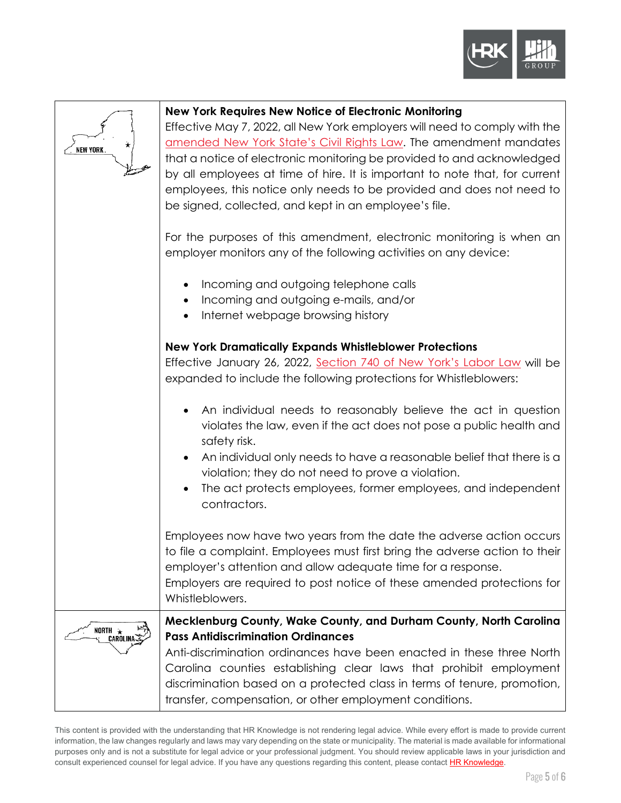